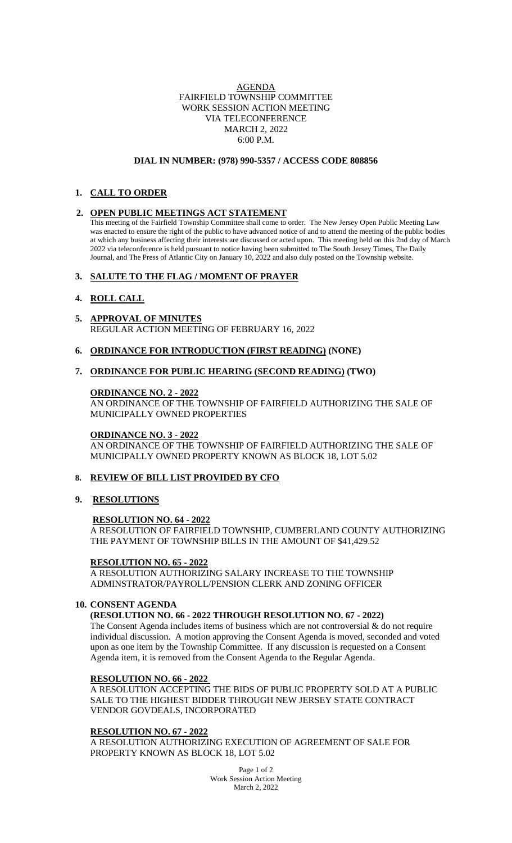### AGENDA FAIRFIELD TOWNSHIP COMMITTEE WORK SESSION ACTION MEETING VIA TELECONFERENCE MARCH 2, 2022 6:00 P.M.

#### **DIAL IN NUMBER: (978) 990-5357 / ACCESS CODE 808856**

# **1. CALL TO ORDER**

### **2. OPEN PUBLIC MEETINGS ACT STATEMENT**

This meeting of the Fairfield Township Committee shall come to order. The New Jersey Open Public Meeting Law was enacted to ensure the right of the public to have advanced notice of and to attend the meeting of the public bodies at which any business affecting their interests are discussed or acted upon. This meeting held on this 2nd day of March 2022 via teleconference is held pursuant to notice having been submitted to The South Jersey Times, The Daily Journal, and The Press of Atlantic City on January 10, 2022 and also duly posted on the Township website.

# **3. SALUTE TO THE FLAG / MOMENT OF PRAYER**

# **4. ROLL CALL**

- **5. APPROVAL OF MINUTES** REGULAR ACTION MEETING OF FEBRUARY 16, 2022
- **6. ORDINANCE FOR INTRODUCTION (FIRST READING) (NONE)**

# **7. ORDINANCE FOR PUBLIC HEARING (SECOND READING) (TWO)**

### **ORDINANCE NO. 2 - 2022**

AN ORDINANCE OF THE TOWNSHIP OF FAIRFIELD AUTHORIZING THE SALE OF MUNICIPALLY OWNED PROPERTIES

### **ORDINANCE NO. 3 - 2022**

AN ORDINANCE OF THE TOWNSHIP OF FAIRFIELD AUTHORIZING THE SALE OF MUNICIPALLY OWNED PROPERTY KNOWN AS BLOCK 18, LOT 5.02

### **8. REVIEW OF BILL LIST PROVIDED BY CFO**

**9. RESOLUTIONS**

### **RESOLUTION NO. 64 - 2022**

A RESOLUTION OF FAIRFIELD TOWNSHIP, CUMBERLAND COUNTY AUTHORIZING THE PAYMENT OF TOWNSHIP BILLS IN THE AMOUNT OF \$41,429.52

### **RESOLUTION NO. 65 - 2022**

A RESOLUTION AUTHORIZING SALARY INCREASE TO THE TOWNSHIP ADMINSTRATOR/PAYROLL/PENSION CLERK AND ZONING OFFICER

### **10. CONSENT AGENDA**

**(RESOLUTION NO. 66 - 2022 THROUGH RESOLUTION NO. 67 - 2022)**

The Consent Agenda includes items of business which are not controversial  $\&$  do not require individual discussion. A motion approving the Consent Agenda is moved, seconded and voted upon as one item by the Township Committee. If any discussion is requested on a Consent Agenda item, it is removed from the Consent Agenda to the Regular Agenda.

### **RESOLUTION NO. 66 - 2022**

A RESOLUTION ACCEPTING THE BIDS OF PUBLIC PROPERTY SOLD AT A PUBLIC SALE TO THE HIGHEST BIDDER THROUGH NEW JERSEY STATE CONTRACT VENDOR GOVDEALS, INCORPORATED

### **RESOLUTION NO. 67 - 2022**

A RESOLUTION AUTHORIZING EXECUTION OF AGREEMENT OF SALE FOR PROPERTY KNOWN AS BLOCK 18, LOT 5.02

> Page 1 of 2 Work Session Action Meeting March 2, 2022